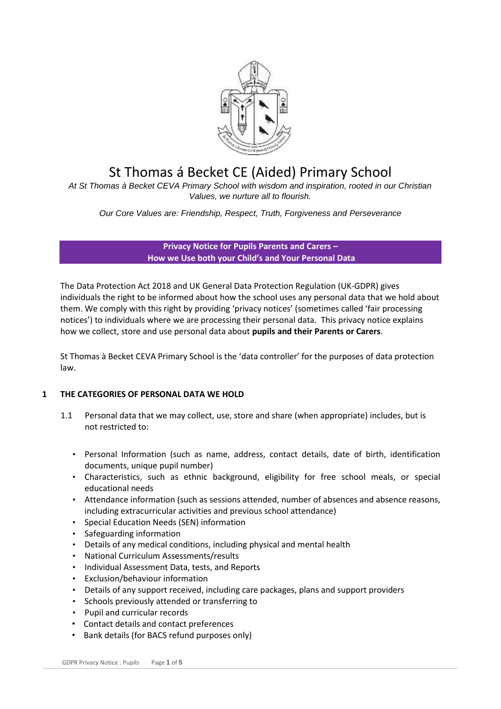

# St Thomas á Becket CE (Aided) Primary School

*At St Thomas à Becket CEVA Primary School with wisdom and inspiration, rooted in our Christian Values, we nurture all to flourish.*

*Our Core Values are: Friendship, Respect, Truth, Forgiveness and Perseverance*

**Privacy Notice for Pupils Parents and Carers – How we Use both your Child's and Your Personal Data** 

The Data Protection Act 2018 and UK General Data Protection Regulation (UK-GDPR) gives individuals the right to be informed about how the school uses any personal data that we hold about them. We comply with this right by providing 'privacy notices' (sometimes called 'fair processing notices') to individuals where we are processing their personal data. This privacy notice explains how we collect, store and use personal data about **pupils and their Parents or Carers**.

St Thomas à Becket CEVA Primary School is the 'data controller' for the purposes of data protection law.

# **1 THE CATEGORIES OF PERSONAL DATA WE HOLD**

- 1.1 Personal data that we may collect, use, store and share (when appropriate) includes, but is not restricted to:
	- Personal Information (such as name, address, contact details, date of birth, identification documents, unique pupil number)
	- Characteristics, such as ethnic background, eligibility for free school meals, or special educational needs
	- Attendance information (such as sessions attended, number of absences and absence reasons, including extracurricular activities and previous school attendance)
	- Special Education Needs (SEN) information
	- Safeguarding information
	- Details of any medical conditions, including physical and mental health
	- National Curriculum Assessments/results
	- Individual Assessment Data, tests, and Reports
	- Exclusion/behaviour information
	- Details of any support received, including care packages, plans and support providers
	- Schools previously attended or transferring to
	- Pupil and curricular records
	- Contact details and contact preferences
	- Bank details (for BACS refund purposes only)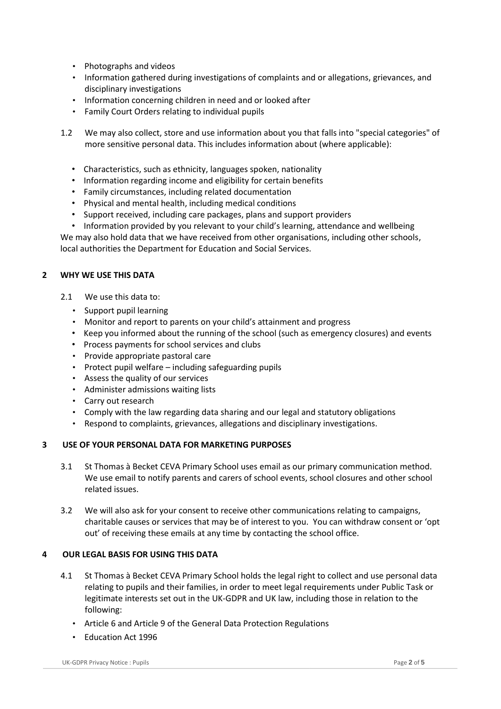- Photographs and videos
- Information gathered during investigations of complaints and or allegations, grievances, and disciplinary investigations
- Information concerning children in need and or looked after
- Family Court Orders relating to individual pupils
- 1.2 We may also collect, store and use information about you that falls into "special categories" of more sensitive personal data. This includes information about (where applicable):
	- Characteristics, such as ethnicity, languages spoken, nationality
	- Information regarding income and eligibility for certain benefits
	- Family circumstances, including related documentation
	- Physical and mental health, including medical conditions
	- Support received, including care packages, plans and support providers
	- Information provided by you relevant to your child's learning, attendance and wellbeing

We may also hold data that we have received from other organisations, including other schools, local authorities the Department for Education and Social Services.

## **2 WHY WE USE THIS DATA**

- 2.1 We use this data to:
	- Support pupil learning
	- Monitor and report to parents on your child's attainment and progress
	- Keep you informed about the running of the school (such as emergency closures) and events
	- Process payments for school services and clubs
	- Provide appropriate pastoral care
	- Protect pupil welfare including safeguarding pupils
	- Assess the quality of our services
	- Administer admissions waiting lists
	- Carry out research
	- Comply with the law regarding data sharing and our legal and statutory obligations
	- Respond to complaints, grievances, allegations and disciplinary investigations.

## **3 USE OF YOUR PERSONAL DATA FOR MARKETING PURPOSES**

- 3.1 St Thomas à Becket CEVA Primary School uses email as our primary communication method. We use email to notify parents and carers of school events, school closures and other school related issues.
- 3.2 We will also ask for your consent to receive other communications relating to campaigns, charitable causes or services that may be of interest to you. You can withdraw consent or 'opt out' of receiving these emails at any time by contacting the school office.

## **4 OUR LEGAL BASIS FOR USING THIS DATA**

- 4.1 St Thomas à Becket CEVA Primary School holds the legal right to collect and use personal data relating to pupils and their families, in order to meet legal requirements under Public Task or legitimate interests set out in the UK-GDPR and UK law, including those in relation to the following:
	- Article 6 and Article 9 of the General Data Protection Regulations
	- Education Act 1996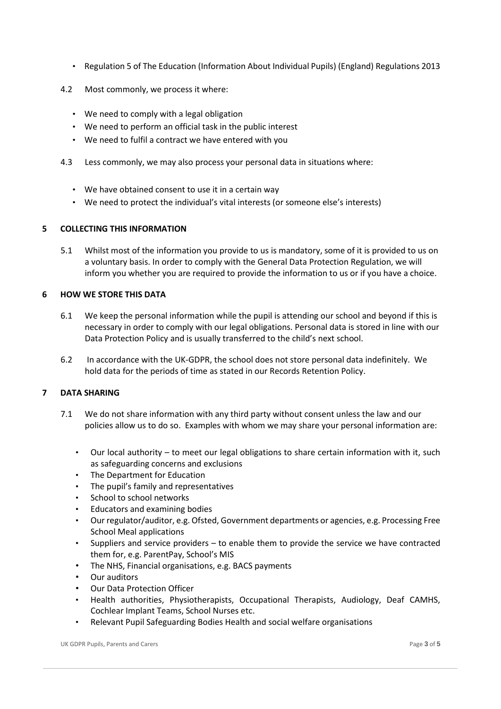- Regulation 5 of The Education (Information About Individual Pupils) (England) Regulations 2013
- 4.2 Most commonly, we process it where:
	- We need to comply with a legal obligation
	- We need to perform an official task in the public interest
	- We need to fulfil a contract we have entered with you
- 4.3 Less commonly, we may also process your personal data in situations where:
	- We have obtained consent to use it in a certain way
	- We need to protect the individual's vital interests (or someone else's interests)

## **5 COLLECTING THIS INFORMATION**

5.1 Whilst most of the information you provide to us is mandatory, some of it is provided to us on a voluntary basis. In order to comply with the General Data Protection Regulation, we will inform you whether you are required to provide the information to us or if you have a choice.

## **6 HOW WE STORE THIS DATA**

- 6.1 We keep the personal information while the pupil is attending our school and beyond if this is necessary in order to comply with our legal obligations. Personal data is stored in line with our Data Protection Policy and is usually transferred to the child's next school.
- 6.2 In accordance with the UK-GDPR, the school does not store personal data indefinitely. We hold data for the periods of time as stated in our Records Retention Policy.

# **7 DATA SHARING**

- 7.1 We do not share information with any third party without consent unless the law and our policies allow us to do so. Examples with whom we may share your personal information are:
	- Our local authority to meet our legal obligations to share certain information with it, such as safeguarding concerns and exclusions
	- The Department for Education
	- The pupil's family and representatives
	- School to school networks
	- Educators and examining bodies
	- Our regulator/auditor, e.g. Ofsted, Government departments or agencies, e.g. Processing Free School Meal applications
	- Suppliers and service providers to enable them to provide the service we have contracted them for, e.g. ParentPay, School's MIS
	- The NHS, Financial organisations, e.g. BACS payments
	- Our auditors
	- Our Data Protection Officer
	- Health authorities, Physiotherapists, Occupational Therapists, Audiology, Deaf CAMHS, Cochlear Implant Teams, School Nurses etc.
	- Relevant Pupil Safeguarding Bodies Health and social welfare organisations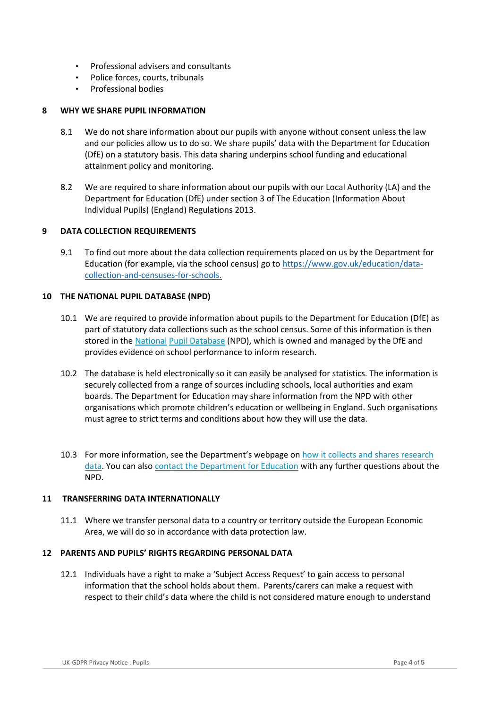- Professional advisers and consultants
- Police forces, courts, tribunals
- Professional bodies

## **8 WHY WE SHARE PUPIL INFORMATION**

- 8.1 We do not share information about our pupils with anyone without consent unless the law and our policies allow us to do so. We share pupils' data with the Department for Education (DfE) on a statutory basis. This data sharing underpins school funding and educational attainment policy and monitoring.
- 8.2 We are required to share information about our pupils with our Local Authority (LA) and the Department for Education (DfE) under section 3 of The Education (Information About Individual Pupils) (England) Regulations 2013.

## **9 DATA COLLECTION REQUIREMENTS**

9.1 To find out more about the data collection requirements placed on us by the Department for Education (for example, via the school census) go t[o https://www.gov.uk/education/data](https://www.gov.uk/education/data-collection-and-censuses-for-schools.)[collection-and-censuses-for-schools.](https://www.gov.uk/education/data-collection-and-censuses-for-schools.) 

## **10 THE NATIONAL PUPIL DATABASE (NPD)**

- 10.1 We are required to provide information about pupils to the Department for Education (DfE) as part of statutory data collections such as the school census. Some of this information is then stored in th[e National](https://www.gov.uk/government/publications/national-pupil-database-user-guide-and-supporting-information) [Pupil Database](https://www.gov.uk/government/publications/national-pupil-database-user-guide-and-supporting-information) (NPD), which is owned and managed by the DfE and provides evidence on school performance to inform research.
- 10.2 The database is held electronically so it can easily be analysed for statistics. The information is securely collected from a range of sources including schools, local authorities and exam boards. The Department for Education may share information from the NPD with other organisations which promote children's education or wellbeing in England. Such organisations must agree to strict terms and conditions about how they will use the data.
- 10.3 For more information, see the Department's webpage on [how it collects and shares research](https://www.gov.uk/data-protection-how-we-collect-and-share-research-data)  [data.](https://www.gov.uk/data-protection-how-we-collect-and-share-research-data) You can also [contact the Department for Education](https://www.gov.uk/contact-dfe) with any further questions about the NPD.

## **11 TRANSFERRING DATA INTERNATIONALLY**

11.1 Where we transfer personal data to a country or territory outside the European Economic Area, we will do so in accordance with data protection law.

## **12 PARENTS AND PUPILS' RIGHTS REGARDING PERSONAL DATA**

12.1 Individuals have a right to make a 'Subject Access Request' to gain access to personal information that the school holds about them. Parents/carers can make a request with respect to their child's data where the child is not considered mature enough to understand